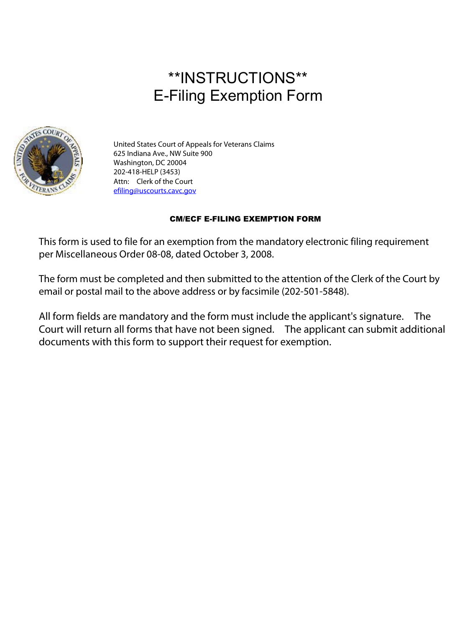# \*\*INSTRUCTIONS\*\* E-Filing Exemption Form



United States Court of Appeals for Veterans Claims 625 Indiana Ave., NW Suite 900 Washington, DC 20004 202-418-HELP (3453) Attn: Clerk of the Court [efiling@uscourts.cavc.gov](mailto:efiling@uscourts.cavc.gov)

### CM/ECF E-FILING EXEMPTION FORM

This form is used to file for an exemption from the mandatory electronic filing requirement per Miscellaneous Order 08-08, dated October 3, 2008.

The form must be completed and then submitted to the attention of the Clerk of the Court by email or postal mail to the above address or by facsimile (202-501-5848).

All form fields are mandatory and the form must include the applicant's signature. The Court will return all forms that have not been signed. The applicant can submit additional documents with this form to support their request for exemption.